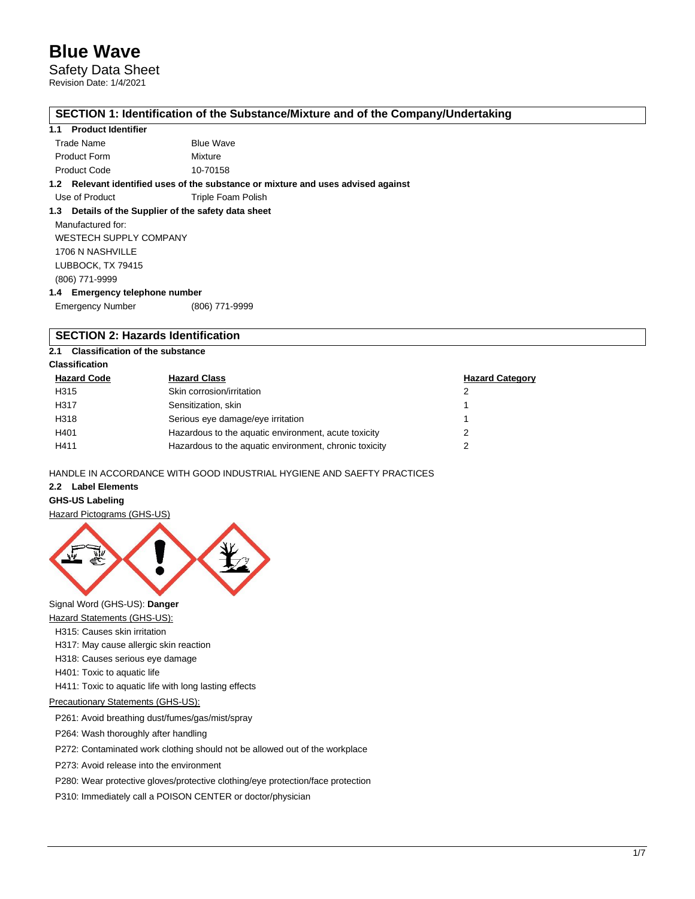Safety Data Sheet Revision Date: 1/4/2021

## **SECTION 1: Identification of the Substance/Mixture and of the Company/Undertaking**

### **1.1 Product Identifier**

| Trade Name          | <b>Blue Wave</b> |
|---------------------|------------------|
| <b>Product Form</b> | Mixture          |
| <b>Product Code</b> | 10-70158         |

**1.2 Relevant identified uses of the substance or mixture and uses advised against**

Use of Product Triple Foam Polish

### **1.3 Details of the Supplier of the safety data sheet**

Manufactured for: WESTECH SUPPLY COMPANY 1706 N NASHVILLE LUBBOCK, TX 79415 (806) 771-9999 **1.4 Emergency telephone number**

| - - -                   |                |
|-------------------------|----------------|
| <b>Emergency Number</b> | (806) 771-9999 |

## **SECTION 2: Hazards Identification**

## **2.1 Classification of the substance**

## **Classification**

| <b>Hazard Code</b> | <b>Hazard Class</b>                                    | <b>Hazard Category</b> |
|--------------------|--------------------------------------------------------|------------------------|
| H315               | Skin corrosion/irritation                              | 2                      |
| H317               | Sensitization, skin                                    |                        |
| H318               | Serious eye damage/eye irritation                      |                        |
| H401               | Hazardous to the aquatic environment, acute toxicity   |                        |
| H411               | Hazardous to the aquatic environment, chronic toxicity | າ                      |

HANDLE IN ACCORDANCE WITH GOOD INDUSTRIAL HYGIENE AND SAEFTY PRACTICES

## **2.2 Label Elements**

### **GHS-US Labeling**

Hazard Pictograms (GHS-US)



Signal Word (GHS-US): **Danger**

- Hazard Statements (GHS-US):
- H315: Causes skin irritation
- H317: May cause allergic skin reaction
- H318: Causes serious eye damage
- H401: Toxic to aquatic life
- H411: Toxic to aquatic life with long lasting effects

## Precautionary Statements (GHS-US):

P261: Avoid breathing dust/fumes/gas/mist/spray

P264: Wash thoroughly after handling

P272: Contaminated work clothing should not be allowed out of the workplace

P273: Avoid release into the environment

P280: Wear protective gloves/protective clothing/eye protection/face protection

P310: Immediately call a POISON CENTER or doctor/physician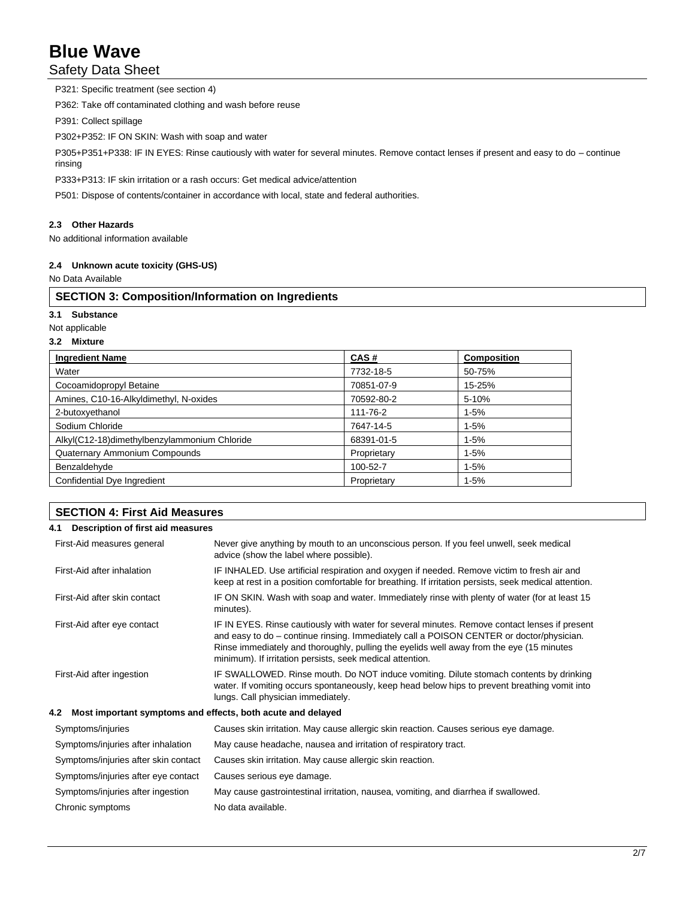## Safety Data Sheet

P321: Specific treatment (see section 4) P362: Take off contaminated clothing and wash before reuse P391: Collect spillage P302+P352: IF ON SKIN: Wash with soap and water P305+P351+P338: IF IN EYES: Rinse cautiously with water for several minutes. Remove contact lenses if present and easy to do – continue

rinsing P333+P313: IF skin irritation or a rash occurs: Get medical advice/attention

P501: Dispose of contents/container in accordance with local, state and federal authorities.

## **2.3 Other Hazards**

No additional information available

## **2.4 Unknown acute toxicity (GHS-US)**

No Data Available

## **SECTION 3: Composition/Information on Ingredients**

**3.1 Substance**

Not applicable

#### **3.2 Mixture**

| <b>Ingredient Name</b>                       | CAS#        | <b>Composition</b> |
|----------------------------------------------|-------------|--------------------|
| Water                                        | 7732-18-5   | 50-75%             |
| Cocoamidopropyl Betaine                      | 70851-07-9  | 15-25%             |
| Amines, C10-16-Alkyldimethyl, N-oxides       | 70592-80-2  | 5-10%              |
| 2-butoxyethanol                              | 111-76-2    | $1 - 5%$           |
| Sodium Chloride                              | 7647-14-5   | $1 - 5%$           |
| Alkyl(C12-18)dimethylbenzylammonium Chloride | 68391-01-5  | $1 - 5%$           |
| Quaternary Ammonium Compounds                | Proprietary | $1 - 5%$           |
| Benzaldehyde                                 | 100-52-7    | $1 - 5%$           |
| Confidential Dye Ingredient                  | Proprietary | $1 - 5%$           |

| <b>SECTION 4: First Aid Measures</b>                               |                                                                                                                                                                                                                                                                                                                                                    |  |
|--------------------------------------------------------------------|----------------------------------------------------------------------------------------------------------------------------------------------------------------------------------------------------------------------------------------------------------------------------------------------------------------------------------------------------|--|
| Description of first aid measures<br>4.1                           |                                                                                                                                                                                                                                                                                                                                                    |  |
| First-Aid measures general                                         | Never give anything by mouth to an unconscious person. If you feel unwell, seek medical<br>advice (show the label where possible).                                                                                                                                                                                                                 |  |
| First-Aid after inhalation                                         | IF INHALED. Use artificial respiration and oxygen if needed. Remove victim to fresh air and<br>keep at rest in a position comfortable for breathing. If irritation persists, seek medical attention.                                                                                                                                               |  |
| First-Aid after skin contact                                       | IF ON SKIN. Wash with soap and water. Immediately rinse with plenty of water (for at least 15<br>minutes).                                                                                                                                                                                                                                         |  |
| First-Aid after eye contact                                        | IF IN EYES. Rinse cautiously with water for several minutes. Remove contact lenses if present<br>and easy to do – continue rinsing. Immediately call a POISON CENTER or doctor/physician.<br>Rinse immediately and thoroughly, pulling the eyelids well away from the eye (15 minutes<br>minimum). If irritation persists, seek medical attention. |  |
| First-Aid after ingestion                                          | IF SWALLOWED. Rinse mouth. Do NOT induce vomiting. Dilute stomach contents by drinking<br>water. If vomiting occurs spontaneously, keep head below hips to prevent breathing vomit into<br>lungs. Call physician immediately.                                                                                                                      |  |
| Most important symptoms and effects, both acute and delayed<br>4.2 |                                                                                                                                                                                                                                                                                                                                                    |  |
| Symptoms/injuries                                                  | Causes skin irritation. May cause allergic skin reaction. Causes serious eye damage.                                                                                                                                                                                                                                                               |  |
| Symptoms/injuries after inhalation                                 | May cause headache, nausea and irritation of respiratory tract.                                                                                                                                                                                                                                                                                    |  |
| Symptoms/injuries after skin contact                               | Causes skin irritation. May cause allergic skin reaction.                                                                                                                                                                                                                                                                                          |  |
| Symptoms/injuries after eye contact                                | Causes serious eye damage.                                                                                                                                                                                                                                                                                                                         |  |
| Symptoms/injuries after ingestion                                  | May cause gastrointestinal irritation, nausea, vomiting, and diarrhea if swallowed.                                                                                                                                                                                                                                                                |  |
| Chronic symptoms                                                   | No data available.                                                                                                                                                                                                                                                                                                                                 |  |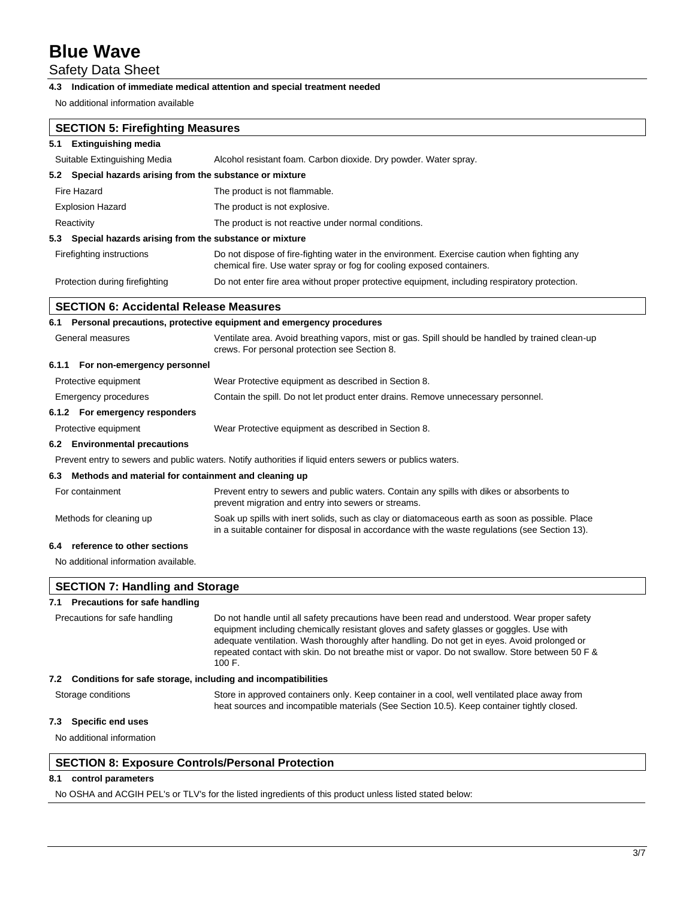Safety Data Sheet

## **4.3 Indication of immediate medical attention and special treatment needed**

No additional information available

| <b>SECTION 5: Firefighting Measures</b>                      |                                                                                                                                                                                                                                                                                                                                                                                           |
|--------------------------------------------------------------|-------------------------------------------------------------------------------------------------------------------------------------------------------------------------------------------------------------------------------------------------------------------------------------------------------------------------------------------------------------------------------------------|
| 5.1 Extinguishing media                                      |                                                                                                                                                                                                                                                                                                                                                                                           |
| Suitable Extinguishing Media                                 | Alcohol resistant foam. Carbon dioxide. Dry powder. Water spray.                                                                                                                                                                                                                                                                                                                          |
| Special hazards arising from the substance or mixture<br>5.2 |                                                                                                                                                                                                                                                                                                                                                                                           |
| Fire Hazard                                                  | The product is not flammable.                                                                                                                                                                                                                                                                                                                                                             |
| <b>Explosion Hazard</b>                                      | The product is not explosive.                                                                                                                                                                                                                                                                                                                                                             |
| Reactivity                                                   | The product is not reactive under normal conditions.                                                                                                                                                                                                                                                                                                                                      |
| 5.3 Special hazards arising from the substance or mixture    |                                                                                                                                                                                                                                                                                                                                                                                           |
| Firefighting instructions                                    | Do not dispose of fire-fighting water in the environment. Exercise caution when fighting any<br>chemical fire. Use water spray or fog for cooling exposed containers.                                                                                                                                                                                                                     |
| Protection during firefighting                               | Do not enter fire area without proper protective equipment, including respiratory protection.                                                                                                                                                                                                                                                                                             |
| <b>SECTION 6: Accidental Release Measures</b>                |                                                                                                                                                                                                                                                                                                                                                                                           |
|                                                              | 6.1 Personal precautions, protective equipment and emergency procedures                                                                                                                                                                                                                                                                                                                   |
| General measures                                             | Ventilate area. Avoid breathing vapors, mist or gas. Spill should be handled by trained clean-up<br>crews. For personal protection see Section 8.                                                                                                                                                                                                                                         |
| 6.1.1 For non-emergency personnel                            |                                                                                                                                                                                                                                                                                                                                                                                           |
| Protective equipment                                         | Wear Protective equipment as described in Section 8.                                                                                                                                                                                                                                                                                                                                      |
| Emergency procedures                                         | Contain the spill. Do not let product enter drains. Remove unnecessary personnel.                                                                                                                                                                                                                                                                                                         |
| 6.1.2 For emergency responders                               |                                                                                                                                                                                                                                                                                                                                                                                           |
| Protective equipment                                         | Wear Protective equipment as described in Section 8.                                                                                                                                                                                                                                                                                                                                      |
| 6.2 Environmental precautions                                |                                                                                                                                                                                                                                                                                                                                                                                           |
|                                                              | Prevent entry to sewers and public waters. Notify authorities if liquid enters sewers or publics waters.                                                                                                                                                                                                                                                                                  |
| Methods and material for containment and cleaning up<br>6.3  |                                                                                                                                                                                                                                                                                                                                                                                           |
| For containment                                              | Prevent entry to sewers and public waters. Contain any spills with dikes or absorbents to<br>prevent migration and entry into sewers or streams.                                                                                                                                                                                                                                          |
| Methods for cleaning up                                      | Soak up spills with inert solids, such as clay or diatomaceous earth as soon as possible. Place<br>in a suitable container for disposal in accordance with the waste regulations (see Section 13).                                                                                                                                                                                        |
| reference to other sections<br>6.4                           |                                                                                                                                                                                                                                                                                                                                                                                           |
| No additional information available.                         |                                                                                                                                                                                                                                                                                                                                                                                           |
| <b>SECTION 7: Handling and Storage</b>                       |                                                                                                                                                                                                                                                                                                                                                                                           |
| 7.1 Precautions for safe handling                            |                                                                                                                                                                                                                                                                                                                                                                                           |
| Precautions for safe handling                                | Do not handle until all safety precautions have been read and understood. Wear proper safety<br>equipment including chemically resistant gloves and safety glasses or goggles. Use with<br>adequate ventilation. Wash thoroughly after handling. Do not get in eyes. Avoid prolonged or<br>repeated contact with skin. Do not breathe mist or vapor. Do not swallow. Store between 50 F & |

**7.2 Conditions for safe storage, including and incompatibilities**

Storage conditions Store in approved containers only. Keep container in a cool, well ventilated place away from heat sources and incompatible materials (See Section 10.5). Keep container tightly closed.

## **7.3 Specific end uses**

No additional information

## **SECTION 8: Exposure Controls/Personal Protection**

100 F.

## **8.1 control parameters**

No OSHA and ACGIH PEL's or TLV's for the listed ingredients of this product unless listed stated below: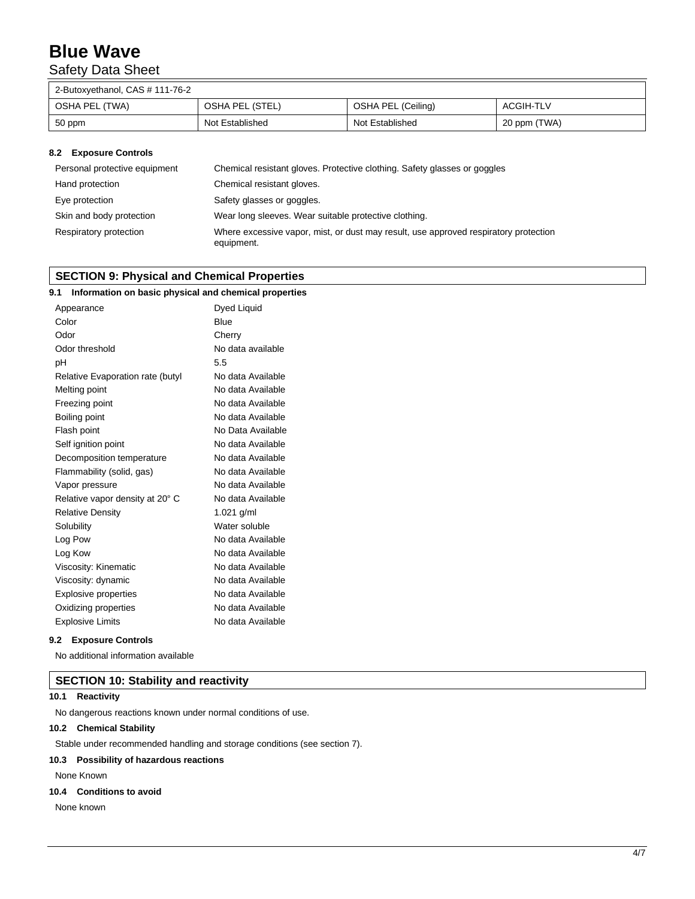## Safety Data Sheet

| 2-Butoxyethanol, CAS # 111-76-2 |                 |                    |              |
|---------------------------------|-----------------|--------------------|--------------|
| OSHA PEL (TWA)                  | OSHA PEL (STEL) | OSHA PEL (Ceiling) | ACGIH-TLV    |
| 50 ppm                          | Not Established | Not Established    | 20 ppm (TWA) |

#### **8.2 Exposure Controls**

| Personal protective equipment | Chemical resistant gloves. Protective clothing. Safety glasses or goggles                          |
|-------------------------------|----------------------------------------------------------------------------------------------------|
| Hand protection               | Chemical resistant gloves.                                                                         |
| Eye protection                | Safety glasses or goggles.                                                                         |
| Skin and body protection      | Wear long sleeves. Wear suitable protective clothing.                                              |
| Respiratory protection        | Where excessive vapor, mist, or dust may result, use approved respiratory protection<br>equipment. |

## **SECTION 9: Physical and Chemical Properties**

## **9.1 Information on basic physical and chemical properties**

| Appearance                       | Dyed Liquid       |
|----------------------------------|-------------------|
| Color                            | <b>Blue</b>       |
| Odor                             | Cherry            |
| Odor threshold                   | No data available |
| рH                               | 5.5               |
| Relative Evaporation rate (butyl | No data Available |
| Melting point                    | No data Available |
| Freezing point                   | No data Available |
| Boiling point                    | No data Available |
| Flash point                      | No Data Available |
| Self ignition point              | No data Available |
| Decomposition temperature        | No data Available |
| Flammability (solid, gas)        | No data Available |
| Vapor pressure                   | No data Available |
| Relative vapor density at 20° C  | No data Available |
| <b>Relative Density</b>          | 1.021 g/ml        |
| Solubility                       | Water soluble     |
| Log Pow                          | No data Available |
| Log Kow                          | No data Available |
| Viscosity: Kinematic             | No data Available |
| Viscosity: dynamic               | No data Available |
| <b>Explosive properties</b>      | No data Available |
| Oxidizing properties             | No data Available |
| <b>Explosive Limits</b>          | No data Available |

### **9.2 Exposure Controls**

No additional information available

## **SECTION 10: Stability and reactivity**

## **10.1 Reactivity**

No dangerous reactions known under normal conditions of use.

## **10.2 Chemical Stability**

Stable under recommended handling and storage conditions (see section 7).

## **10.3 Possibility of hazardous reactions**

None Known

## **10.4 Conditions to avoid**

None known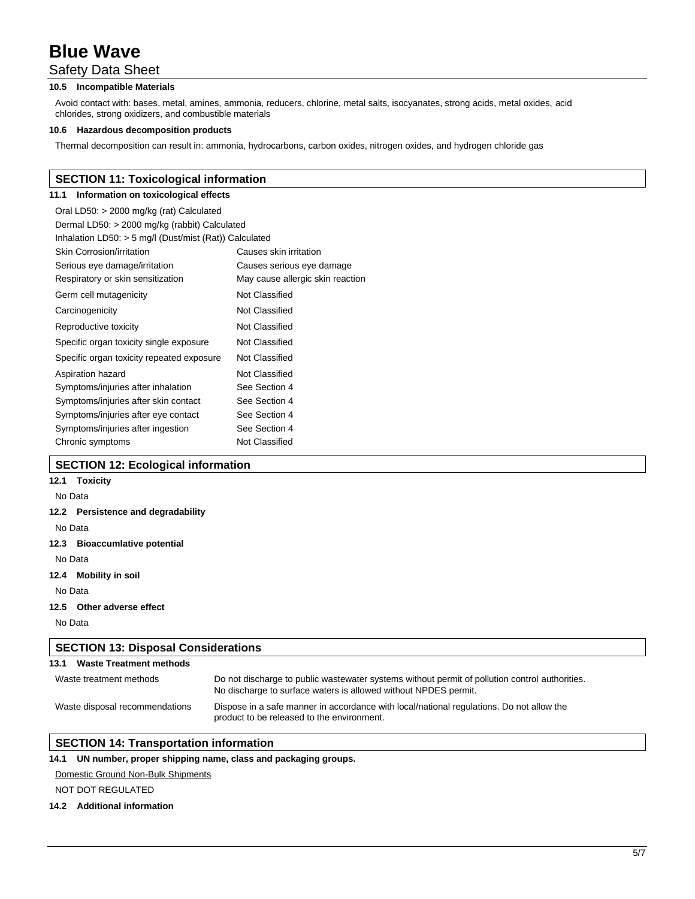## Safety Data Sheet

## **10.5 Incompatible Materials**

Avoid contact with: bases, metal, amines, ammonia, reducers, chlorine, metal salts, isocyanates, strong acids, metal oxides, acid chlorides, strong oxidizers, and combustible materials

#### **10.6 Hazardous decomposition products**

Thermal decomposition can result in: ammonia, hydrocarbons, carbon oxides, nitrogen oxides, and hydrogen chloride gas

## **SECTION 11: Toxicological information**

## **11.1 Information on toxicological effects**

| Oral LD50: > 2000 mg/kg (rat) Calculated                 |                                  |
|----------------------------------------------------------|----------------------------------|
| Dermal LD50: > 2000 mg/kg (rabbit) Calculated            |                                  |
| Inhalation LD50: $>$ 5 mg/l (Dust/mist (Rat)) Calculated |                                  |
| <b>Skin Corrosion/irritation</b>                         | Causes skin irritation           |
| Serious eye damage/irritation                            | Causes serious eye damage        |
| Respiratory or skin sensitization                        | May cause allergic skin reaction |
| Germ cell mutagenicity                                   | Not Classified                   |
| Carcinogenicity                                          | Not Classified                   |
| Reproductive toxicity                                    | Not Classified                   |
| Specific organ toxicity single exposure                  | Not Classified                   |
| Specific organ toxicity repeated exposure                | Not Classified                   |
| Aspiration hazard                                        | Not Classified                   |
| Symptoms/injuries after inhalation                       | See Section 4                    |
| Symptoms/injuries after skin contact                     | See Section 4                    |
| Symptoms/injuries after eye contact                      | See Section 4                    |
| Symptoms/injuries after ingestion                        | See Section 4                    |
| Chronic symptoms                                         | Not Classified                   |

## **SECTION 12: Ecological information**

| 12.1 | Toxicity |
|------|----------|
|------|----------|

## No Data

#### **12.2 Persistence and degradability**

No Data

## **12.3 Bioaccumlative potential**

No Data

**12.4 Mobility in soil**

No Data

#### **12.5 Other adverse effect**

No Data

| <b>SECTION 13: Disposal Considerations</b> |                                                                                                                                                                   |  |
|--------------------------------------------|-------------------------------------------------------------------------------------------------------------------------------------------------------------------|--|
| 13.1<br><b>Waste Treatment methods</b>     |                                                                                                                                                                   |  |
| Waste treatment methods                    | Do not discharge to public wastewater systems without permit of pollution control authorities.<br>No discharge to surface waters is allowed without NPDES permit. |  |
| Waste disposal recommendations             | Dispose in a safe manner in accordance with local/national regulations. Do not allow the<br>product to be released to the environment.                            |  |

## **SECTION 14: Transportation information**

#### **14.1 UN number, proper shipping name, class and packaging groups.**

#### Domestic Ground Non-Bulk Shipments

NOT DOT REGULATED

#### **14.2 Additional information**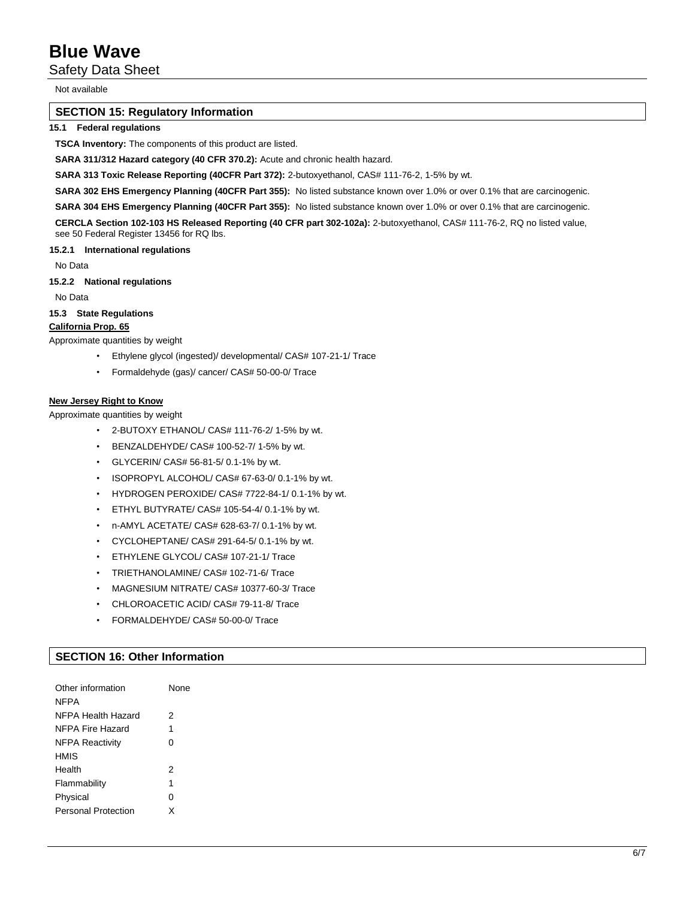Safety Data Sheet

Not available

## **SECTION 15: Regulatory Information**

### **15.1 Federal regulations**

**TSCA Inventory:** The components of this product are listed.

**SARA 311/312 Hazard category (40 CFR 370.2):** Acute and chronic health hazard.

**SARA 313 Toxic Release Reporting (40CFR Part 372):** 2-butoxyethanol, CAS# 111-76-2, 1-5% by wt.

**SARA 302 EHS Emergency Planning (40CFR Part 355):** No listed substance known over 1.0% or over 0.1% that are carcinogenic.

**SARA 304 EHS Emergency Planning (40CFR Part 355):** No listed substance known over 1.0% or over 0.1% that are carcinogenic.

**CERCLA Section 102-103 HS Released Reporting (40 CFR part 302-102a):** 2-butoxyethanol, CAS# 111-76-2, RQ no listed value, see 50 Federal Register 13456 for RQ lbs.

#### **15.2.1 International regulations**

No Data

**15.2.2 National regulations**

No Data

**15.3 State Regulations**

## **California Prop. 65**

Approximate quantities by weight

- Ethylene glycol (ingested)/ developmental/ CAS# 107-21-1/ Trace
- Formaldehyde (gas)/ cancer/ CAS# 50-00-0/ Trace

#### **New Jersey Right to Know**

Approximate quantities by weight

- 2-BUTOXY ETHANOL/ CAS# 111-76-2/ 1-5% by wt.
- BENZALDEHYDE/ CAS# 100-52-7/ 1-5% by wt.
- GLYCERIN/ CAS# 56-81-5/ 0.1-1% by wt.
- ISOPROPYL ALCOHOL/ CAS# 67-63-0/ 0.1-1% by wt.
- HYDROGEN PEROXIDE/ CAS# 7722-84-1/ 0.1-1% by wt.
- ETHYL BUTYRATE/ CAS# 105-54-4/ 0.1-1% by wt.
- n-AMYL ACETATE/ CAS# 628-63-7/ 0.1-1% by wt.
- CYCLOHEPTANE/ CAS# 291-64-5/ 0.1-1% by wt.
- ETHYLENE GLYCOL/ CAS# 107-21-1/ Trace
- TRIETHANOLAMINE/ CAS# 102-71-6/ Trace
- MAGNESIUM NITRATE/ CAS# 10377-60-3/ Trace
- CHLOROACETIC ACID/ CAS# 79-11-8/ Trace
- FORMALDEHYDE/ CAS# 50-00-0/ Trace

## **SECTION 16: Other Information**

| Other information<br><b>NFPA</b> | None |
|----------------------------------|------|
| NFPA Health Hazard               | 2    |
| NFPA Fire Hazard                 | 1    |
| <b>NFPA Reactivity</b>           | 0    |
| <b>HMIS</b>                      |      |
| Health                           | 2    |
| Flammability                     | 1    |
| Physical                         | 0    |
| <b>Personal Protection</b>       | x    |
|                                  |      |